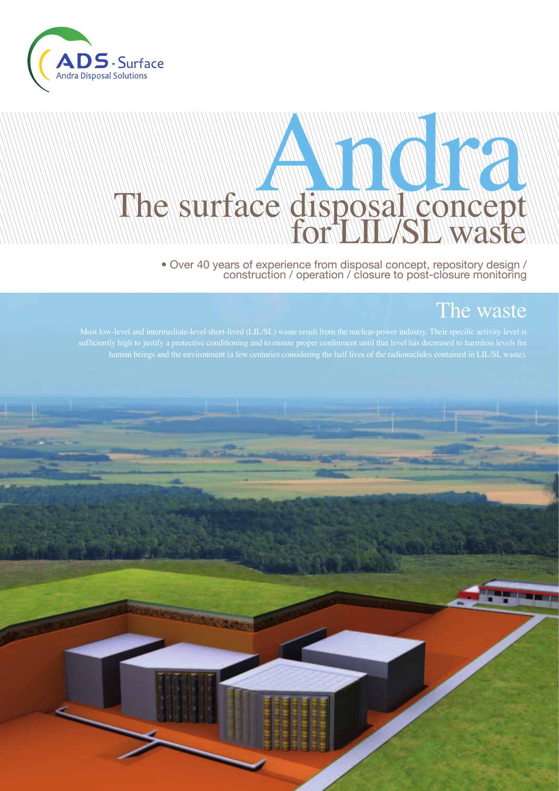

# **Andrew Manuel Manuel** The surface disposal concept

• Over 40 years of experience from disposal concept, repository design / construction / operation / closure to post-closure monitoring

### The waste

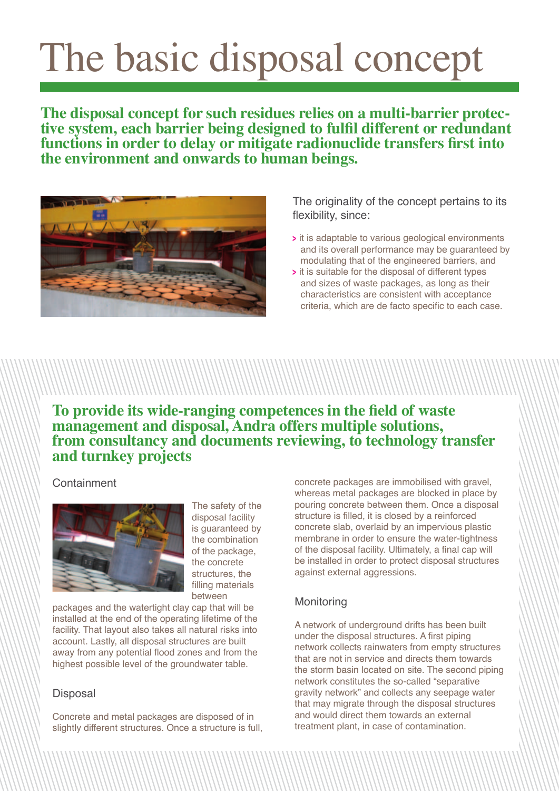## The basic disposal concept

**The disposal concept for such residues relies on a multi-barrier protec- tive system, each barrier being designed to fulfil different or redundant functions in order to delay or mitigate radionuclide transfers first into the environment and onwards to human beings.**



The originality of the concept pertains to its flexibility, since:

- **<sup>&</sup>gt;** it is adaptable to various geological environments and its overall performance may be guaranteed by modulating that of the engineered barriers, and
- **<sup>&</sup>gt;** it is suitable for the disposal of different types and sizes of waste packages, as long as their characteristics are consistent with acceptance criteria, which are de facto specific to each case.

#### **To provide its wide-ranging competences in the field of waste management and disposal, Andra offers multiple solutions, from consultancy and documents reviewing, to technology transfer and turnkey projects**

Containment



The safety of the disposal facility is guaranteed by the combination of the package, the concrete structures, the filling materials between

packages and the watertight clay cap that will be installed at the end of the operating lifetime of the facility. That layout also takes all natural risks into account. Lastly, all disposal structures are built away from any potential flood zones and from the highest possible level of the groundwater table.

#### **Disposal**

Concrete and metal packages are disposed of in slightly different structures. Once a structure is full, concrete packages are immobilised with gravel, whereas metal packages are blocked in place by pouring concrete between them. Once a disposal structure is filled, it is closed by a reinforced concrete slab, overlaid by an impervious plastic membrane in order to ensure the water-tightness of the disposal facility. Ultimately, a final cap will be installed in order to protect disposal structures against external aggressions.

#### **Monitoring**

A network of underground drifts has been built under the disposal structures. A first piping network collects rainwaters from empty structures that are not in service and directs them towards the storm basin located on site. The second piping network constitutes the so-called "separative gravity network" and collects any seepage water that may migrate through the disposal structures and would direct them towards an external treatment plant, in case of contamination.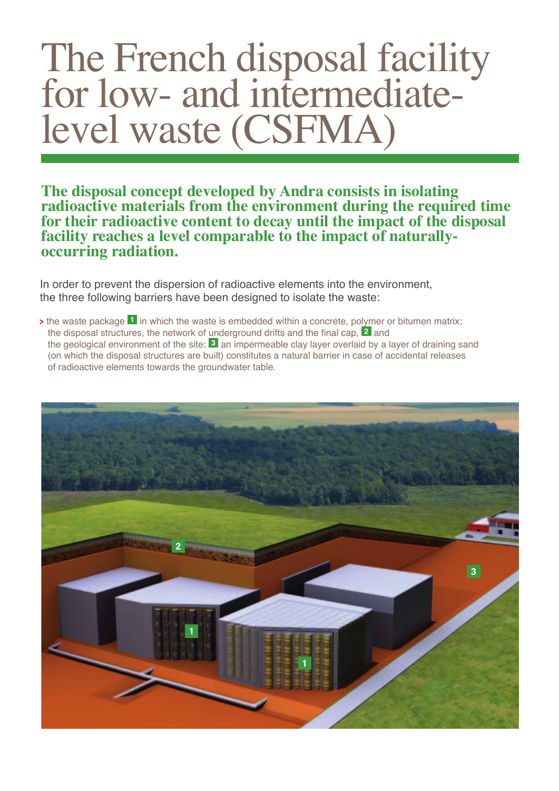### The French disposal facility for low- and intermediatelevel waste (CSFMA)

**The disposal concept developed by Andra consists in isolating radioactive materials from the environment during the required time for their radioactive content to decay until the impact of the disposal facility reaches a level comparable to the impact of naturallyoccurring radiation.**

In order to prevent the dispersion of radioactive elements into the environment, the three following barriers have been designed to isolate the waste:

**<sup>&</sup>gt;** the waste package **1** in which the waste is embedded within a concrete, polymer or bitumen matrix; the disposal structures, the network of underground drifts and the final cap, **2** and the geological environment of the site: **3** an impermeable clay layer overlaid by a layer of draining sand (on which the disposal structures are built) constitutes a natural barrier in case of accidental releases of radioactive elements towards the groundwater table.